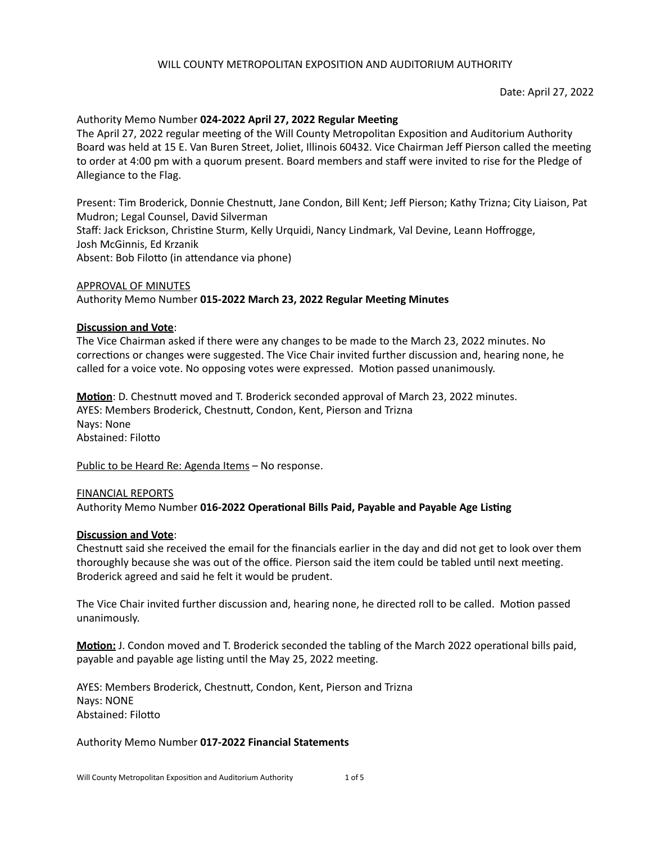## Authority Memo Number 024-2022 April 27, 2022 Regular Meeting

The April 27, 2022 regular meeting of the Will County Metropolitan Exposition and Auditorium Authority Board was held at 15 E. Van Buren Street, Joliet, Illinois 60432. Vice Chairman Jeff Pierson called the meeting to order at 4:00 pm with a quorum present. Board members and staff were invited to rise for the Pledge of Allegiance to the Flag.

Present: Tim Broderick, Donnie Chestnutt, Jane Condon, Bill Kent; Jeff Pierson; Kathy Trizna; City Liaison, Pat Mudron; Legal Counsel, David Silverman Staff: Jack Erickson, Christine Sturm, Kelly Urquidi, Nancy Lindmark, Val Devine, Leann Hoffrogge, Josh McGinnis, Ed Krzanik

Absent: Bob Filotto (in attendance via phone)

# APPROVAL OF MINUTES Authority Memo Number 015-2022 March 23, 2022 Regular Meeting Minutes

## **Discussion and Vote:**

The Vice Chairman asked if there were any changes to be made to the March 23, 2022 minutes. No corrections or changes were suggested. The Vice Chair invited further discussion and, hearing none, he called for a voice vote. No opposing votes were expressed. Motion passed unanimously.

**Motion**: D. Chestnutt moved and T. Broderick seconded approval of March 23, 2022 minutes. AYES: Members Broderick, Chestnutt, Condon, Kent, Pierson and Trizna Nays: None Abstained: Filotto

Public to be Heard Re: Agenda Items – No response.

# FINANCIAL REPORTS Authority Memo Number 016-2022 Operational Bills Paid, Payable and Payable Age Listing

## **Discussion and Vote:**

Chestnutt said she received the email for the financials earlier in the day and did not get to look over them thoroughly because she was out of the office. Pierson said the item could be tabled until next meeting. Broderick agreed and said he felt it would be prudent.

The Vice Chair invited further discussion and, hearing none, he directed roll to be called. Motion passed unanimously.

**Motion:** J. Condon moved and T. Broderick seconded the tabling of the March 2022 operational bills paid, payable and payable age listing until the May 25, 2022 meeting.

AYES: Members Broderick, Chestnutt, Condon, Kent, Pierson and Trizna Nays: NONE Abstained: Filotto

## Authority Memo Number **017-2022 Financial Statements**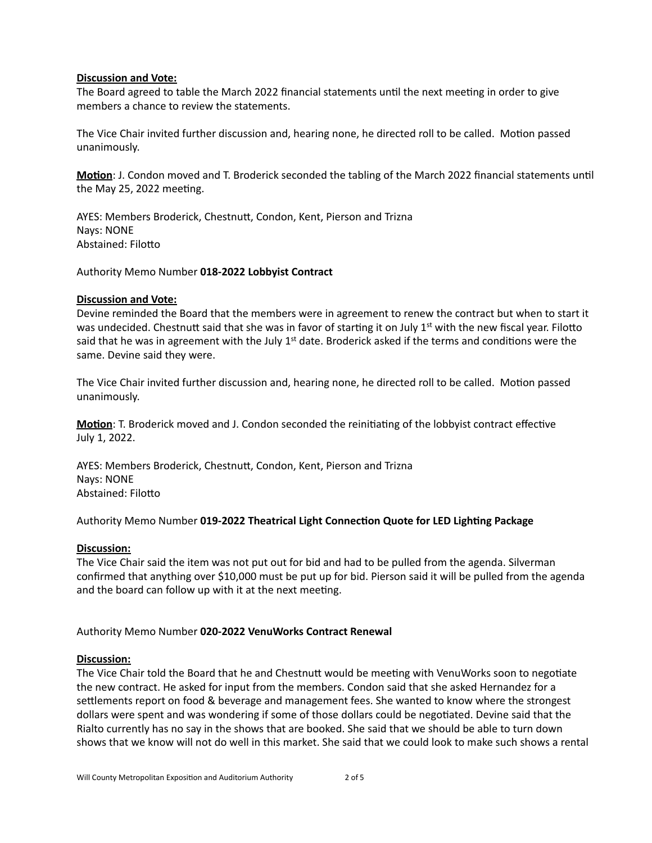## **Discussion and Vote:**

The Board agreed to table the March 2022 financial statements until the next meeting in order to give members a chance to review the statements.

The Vice Chair invited further discussion and, hearing none, he directed roll to be called. Motion passed unanimously.

**Motion**: J. Condon moved and T. Broderick seconded the tabling of the March 2022 financial statements until the May 25, 2022 meeting.

AYES: Members Broderick, Chestnutt, Condon, Kent, Pierson and Trizna Nays: NONE Abstained: Filotto

Authority Memo Number **018-2022 Lobbyist Contract**

#### **Discussion and Vote:**

Devine reminded the Board that the members were in agreement to renew the contract but when to start it was undecided. Chestnutt said that she was in favor of starting it on July 1<sup>st</sup> with the new fiscal year. Filotto said that he was in agreement with the July  $1<sup>st</sup>$  date. Broderick asked if the terms and conditions were the same. Devine said they were.

The Vice Chair invited further discussion and, hearing none, he directed roll to be called. Motion passed unanimously.

**Motion**: T. Broderick moved and J. Condon seconded the reinitiating of the lobbyist contract effective July 1, 2022.

AYES: Members Broderick, Chestnutt, Condon, Kent, Pierson and Trizna Nays: NONE Abstained: Filotto

Authority Memo Number 019-2022 Theatrical Light Connection Quote for LED Lighting Package

## **Discussion:**

The Vice Chair said the item was not put out for bid and had to be pulled from the agenda. Silverman confirmed that anything over \$10,000 must be put up for bid. Pierson said it will be pulled from the agenda and the board can follow up with it at the next meeting.

## Authority Memo Number 020-2022 VenuWorks Contract Renewal

#### **Discussion:**

The Vice Chair told the Board that he and Chestnutt would be meeting with VenuWorks soon to negotiate the new contract. He asked for input from the members. Condon said that she asked Hernandez for a settlements report on food & beverage and management fees. She wanted to know where the strongest dollars were spent and was wondering if some of those dollars could be negotiated. Devine said that the Rialto currently has no say in the shows that are booked. She said that we should be able to turn down shows that we know will not do well in this market. She said that we could look to make such shows a rental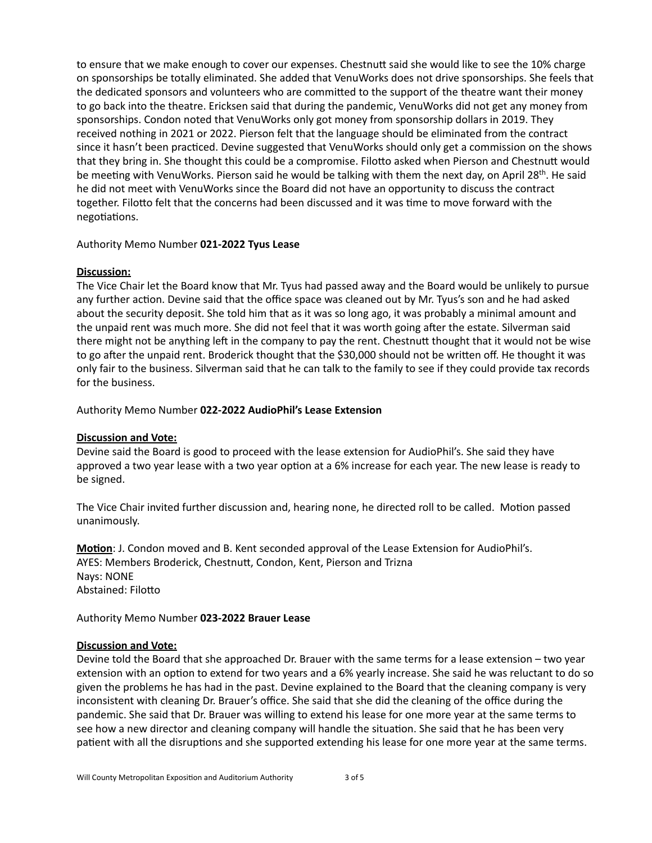to ensure that we make enough to cover our expenses. Chestnutt said she would like to see the 10% charge on sponsorships be totally eliminated. She added that VenuWorks does not drive sponsorships. She feels that the dedicated sponsors and volunteers who are committed to the support of the theatre want their money to go back into the theatre. Ericksen said that during the pandemic, VenuWorks did not get any money from sponsorships. Condon noted that VenuWorks only got money from sponsorship dollars in 2019. They received nothing in 2021 or 2022. Pierson felt that the language should be eliminated from the contract since it hasn't been practiced. Devine suggested that VenuWorks should only get a commission on the shows that they bring in. She thought this could be a compromise. Filotto asked when Pierson and Chestnutt would be meeting with VenuWorks. Pierson said he would be talking with them the next day, on April 28<sup>th</sup>. He said he did not meet with VenuWorks since the Board did not have an opportunity to discuss the contract together. Filotto felt that the concerns had been discussed and it was time to move forward with the negotiations.

## Authority Memo Number **021-2022 Tyus Lease**

## **Discussion:**

The Vice Chair let the Board know that Mr. Tyus had passed away and the Board would be unlikely to pursue any further action. Devine said that the office space was cleaned out by Mr. Tyus's son and he had asked about the security deposit. She told him that as it was so long ago, it was probably a minimal amount and the unpaid rent was much more. She did not feel that it was worth going after the estate. Silverman said there might not be anything left in the company to pay the rent. Chestnutt thought that it would not be wise to go after the unpaid rent. Broderick thought that the \$30,000 should not be written off. He thought it was only fair to the business. Silverman said that he can talk to the family to see if they could provide tax records for the business.

## Authority Memo Number 022-2022 AudioPhil's Lease Extension

# **Discussion and Vote:**

Devine said the Board is good to proceed with the lease extension for AudioPhil's. She said they have approved a two year lease with a two year option at a 6% increase for each year. The new lease is ready to be signed.

The Vice Chair invited further discussion and, hearing none, he directed roll to be called. Motion passed unanimously.

**Motion:** J. Condon moved and B. Kent seconded approval of the Lease Extension for AudioPhil's. AYES: Members Broderick, Chestnutt, Condon, Kent, Pierson and Trizna Nays: NONE Abstained: Filotto

## Authority Memo Number **023-2022 Brauer Lease**

## **Discussion and Vote:**

Devine told the Board that she approached Dr. Brauer with the same terms for a lease extension – two year extension with an option to extend for two years and a 6% yearly increase. She said he was reluctant to do so given the problems he has had in the past. Devine explained to the Board that the cleaning company is very inconsistent with cleaning Dr. Brauer's office. She said that she did the cleaning of the office during the pandemic. She said that Dr. Brauer was willing to extend his lease for one more year at the same terms to see how a new director and cleaning company will handle the situation. She said that he has been very patient with all the disruptions and she supported extending his lease for one more year at the same terms.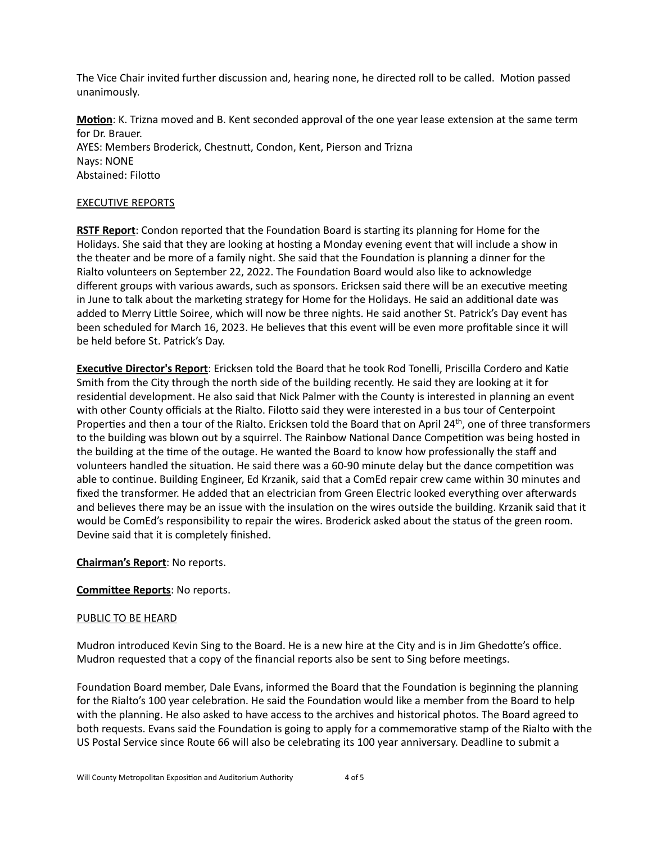The Vice Chair invited further discussion and, hearing none, he directed roll to be called. Motion passed unanimously.

**Motion**: K. Trizna moved and B. Kent seconded approval of the one year lease extension at the same term for Dr. Brauer. AYES: Members Broderick, Chestnutt, Condon, Kent, Pierson and Trizna Nays: NONE Abstained: Filotto

## **EXECUTIVE REPORTS**

**RSTF Report:** Condon reported that the Foundation Board is starting its planning for Home for the Holidays. She said that they are looking at hosting a Monday evening event that will include a show in the theater and be more of a family night. She said that the Foundation is planning a dinner for the Rialto volunteers on September 22, 2022. The Foundation Board would also like to acknowledge different groups with various awards, such as sponsors. Ericksen said there will be an executive meeting in June to talk about the marketing strategy for Home for the Holidays. He said an additional date was added to Merry Little Soiree, which will now be three nights. He said another St. Patrick's Day event has been scheduled for March 16, 2023. He believes that this event will be even more profitable since it will be held before St. Patrick's Day.

**Executive Director's Report**: Ericksen told the Board that he took Rod Tonelli, Priscilla Cordero and Katie Smith from the City through the north side of the building recently. He said they are looking at it for residential development. He also said that Nick Palmer with the County is interested in planning an event with other County officials at the Rialto. Filotto said they were interested in a bus tour of Centerpoint Properties and then a tour of the Rialto. Ericksen told the Board that on April 24<sup>th</sup>, one of three transformers to the building was blown out by a squirrel. The Rainbow National Dance Competition was being hosted in the building at the time of the outage. He wanted the Board to know how professionally the staff and volunteers handled the situation. He said there was a 60-90 minute delay but the dance competition was able to continue. Building Engineer, Ed Krzanik, said that a ComEd repair crew came within 30 minutes and fixed the transformer. He added that an electrician from Green Electric looked everything over afterwards and believes there may be an issue with the insulation on the wires outside the building. Krzanik said that it would be ComEd's responsibility to repair the wires. Broderick asked about the status of the green room. Devine said that it is completely finished.

## **Chairman's Report:** No reports.

## **Committee Reports:** No reports.

## PUBLIC TO BE HEARD

Mudron introduced Kevin Sing to the Board. He is a new hire at the City and is in Jim Ghedotte's office. Mudron requested that a copy of the financial reports also be sent to Sing before meetings.

Foundation Board member, Dale Evans, informed the Board that the Foundation is beginning the planning for the Rialto's 100 year celebration. He said the Foundation would like a member from the Board to help with the planning. He also asked to have access to the archives and historical photos. The Board agreed to both requests. Evans said the Foundation is going to apply for a commemorative stamp of the Rialto with the US Postal Service since Route 66 will also be celebrating its 100 year anniversary. Deadline to submit a